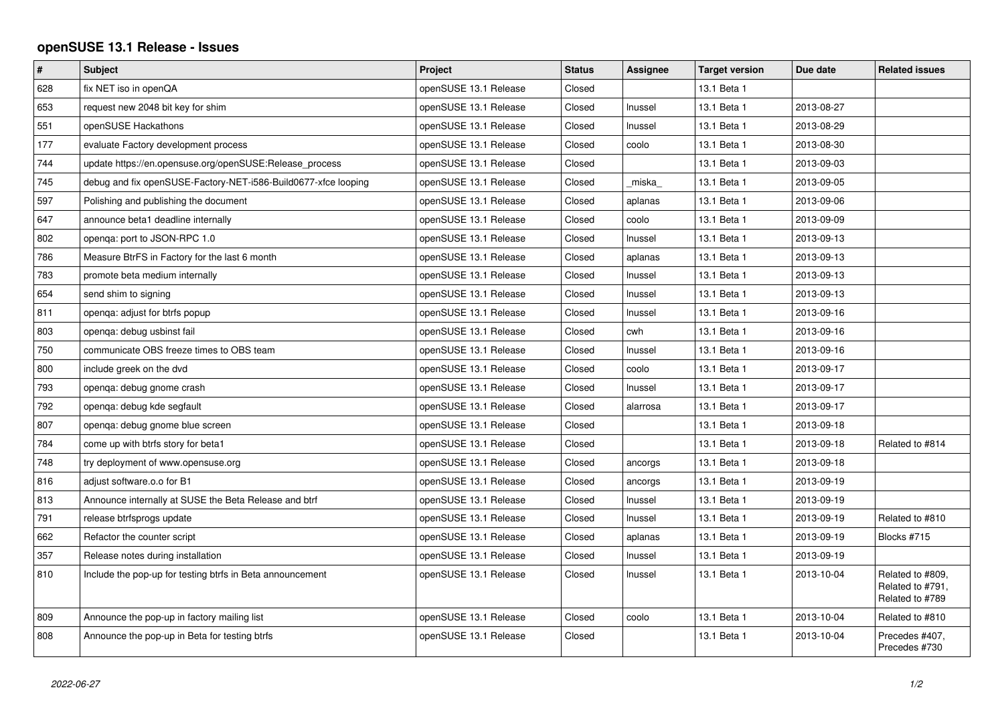## **openSUSE 13.1 Release - Issues**

| $\vert$ # | Subject                                                        | Project               | <b>Status</b> | Assignee | <b>Target version</b> | Due date   | <b>Related issues</b>                                   |
|-----------|----------------------------------------------------------------|-----------------------|---------------|----------|-----------------------|------------|---------------------------------------------------------|
| 628       | fix NET iso in openQA                                          | openSUSE 13.1 Release | Closed        |          | 13.1 Beta 1           |            |                                                         |
| 653       | request new 2048 bit key for shim                              | openSUSE 13.1 Release | Closed        | Inussel  | 13.1 Beta 1           | 2013-08-27 |                                                         |
| 551       | openSUSE Hackathons                                            | openSUSE 13.1 Release | Closed        | Inussel  | 13.1 Beta 1           | 2013-08-29 |                                                         |
| 177       | evaluate Factory development process                           | openSUSE 13.1 Release | Closed        | coolo    | 13.1 Beta 1           | 2013-08-30 |                                                         |
| 744       | update https://en.opensuse.org/openSUSE:Release process        | openSUSE 13.1 Release | Closed        |          | 13.1 Beta 1           | 2013-09-03 |                                                         |
| 745       | debug and fix openSUSE-Factory-NET-i586-Build0677-xfce looping | openSUSE 13.1 Release | Closed        | miska    | 13.1 Beta 1           | 2013-09-05 |                                                         |
| 597       | Polishing and publishing the document                          | openSUSE 13.1 Release | Closed        | aplanas  | 13.1 Beta 1           | 2013-09-06 |                                                         |
| 647       | announce beta1 deadline internally                             | openSUSE 13.1 Release | Closed        | coolo    | 13.1 Beta 1           | 2013-09-09 |                                                         |
| 802       | openga: port to JSON-RPC 1.0                                   | openSUSE 13.1 Release | Closed        | Inussel  | 13.1 Beta 1           | 2013-09-13 |                                                         |
| 786       | Measure BtrFS in Factory for the last 6 month                  | openSUSE 13.1 Release | Closed        | aplanas  | 13.1 Beta 1           | 2013-09-13 |                                                         |
| 783       | promote beta medium internally                                 | openSUSE 13.1 Release | Closed        | Inussel  | 13.1 Beta 1           | 2013-09-13 |                                                         |
| 654       | send shim to signing                                           | openSUSE 13.1 Release | Closed        | Inussel  | 13.1 Beta 1           | 2013-09-13 |                                                         |
| 811       | openga: adjust for btrfs popup                                 | openSUSE 13.1 Release | Closed        | Inussel  | 13.1 Beta 1           | 2013-09-16 |                                                         |
| 803       | openga: debug usbinst fail                                     | openSUSE 13.1 Release | Closed        | cwh      | 13.1 Beta 1           | 2013-09-16 |                                                         |
| 750       | communicate OBS freeze times to OBS team                       | openSUSE 13.1 Release | Closed        | Inussel  | 13.1 Beta 1           | 2013-09-16 |                                                         |
| 800       | include greek on the dvd                                       | openSUSE 13.1 Release | Closed        | coolo    | 13.1 Beta 1           | 2013-09-17 |                                                         |
| 793       | openga: debug gnome crash                                      | openSUSE 13.1 Release | Closed        | Inussel  | 13.1 Beta 1           | 2013-09-17 |                                                         |
| 792       | openqa: debug kde segfault                                     | openSUSE 13.1 Release | Closed        | alarrosa | 13.1 Beta 1           | 2013-09-17 |                                                         |
| 807       | openga: debug gnome blue screen                                | openSUSE 13.1 Release | Closed        |          | 13.1 Beta 1           | 2013-09-18 |                                                         |
| 784       | come up with btrfs story for beta1                             | openSUSE 13.1 Release | Closed        |          | 13.1 Beta 1           | 2013-09-18 | Related to #814                                         |
| 748       | try deployment of www.opensuse.org                             | openSUSE 13.1 Release | Closed        | ancorgs  | 13.1 Beta 1           | 2013-09-18 |                                                         |
| 816       | adjust software.o.o for B1                                     | openSUSE 13.1 Release | Closed        | ancorgs  | 13.1 Beta 1           | 2013-09-19 |                                                         |
| 813       | Announce internally at SUSE the Beta Release and btrf          | openSUSE 13.1 Release | Closed        | Inussel  | 13.1 Beta 1           | 2013-09-19 |                                                         |
| 791       | release btrfsprogs update                                      | openSUSE 13.1 Release | Closed        | Inussel  | 13.1 Beta 1           | 2013-09-19 | Related to #810                                         |
| 662       | Refactor the counter script                                    | openSUSE 13.1 Release | Closed        | aplanas  | 13.1 Beta 1           | 2013-09-19 | Blocks #715                                             |
| 357       | Release notes during installation                              | openSUSE 13.1 Release | Closed        | Inussel  | 13.1 Beta 1           | 2013-09-19 |                                                         |
| 810       | Include the pop-up for testing btrfs in Beta announcement      | openSUSE 13.1 Release | Closed        | Inussel  | 13.1 Beta 1           | 2013-10-04 | Related to #809,<br>Related to #791,<br>Related to #789 |
| 809       | Announce the pop-up in factory mailing list                    | openSUSE 13.1 Release | Closed        | coolo    | 13.1 Beta 1           | 2013-10-04 | Related to #810                                         |
| 808       | Announce the pop-up in Beta for testing btrfs                  | openSUSE 13.1 Release | Closed        |          | 13.1 Beta 1           | 2013-10-04 | Precedes #407,<br>Precedes #730                         |